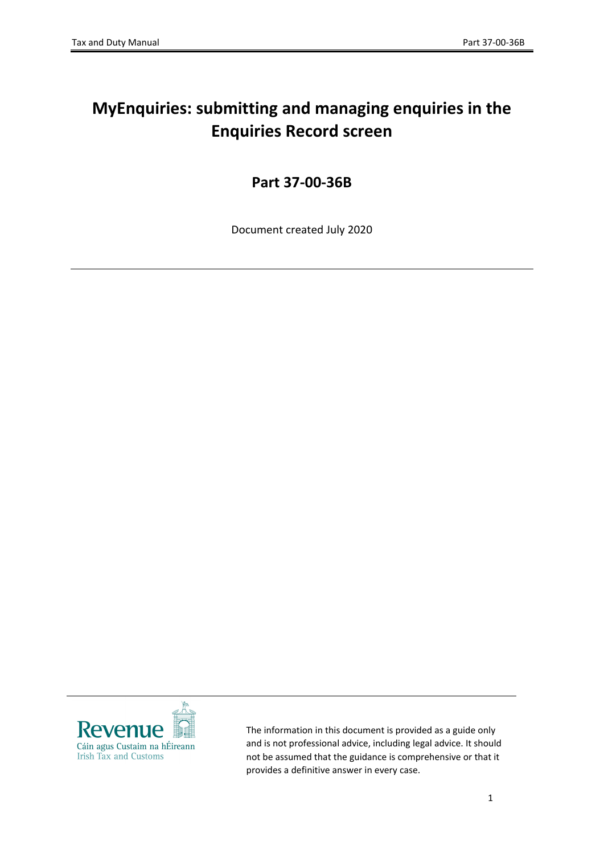# <span id="page-0-0"></span>**MyEnquiries: submitting and managing enquiries in the Enquiries Record screen**

## **Part 37-00-36B**

Document created July 2020



The information in this document is provided as a guide only and is not professional advice, including legal advice. It should not be assumed that the guidance is comprehensive or that it provides a definitive answer in every case.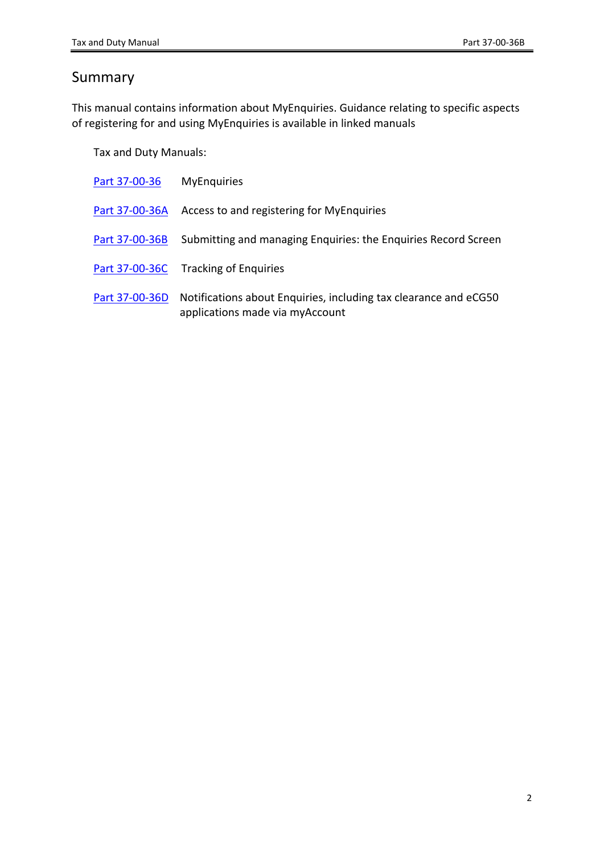## <span id="page-1-0"></span>Summary

This manual contains information about MyEnquiries. Guidance relating to specific aspects of registering for and using MyEnquiries is available in linked manuals

Tax and Duty Manuals:

| Part 37-00-36  | <b>MyEnquiries</b>                                                                                  |
|----------------|-----------------------------------------------------------------------------------------------------|
| Part 37-00-36A | Access to and registering for MyEnquiries                                                           |
| Part 37-00-36B | Submitting and managing Enquiries: the Enquiries Record Screen                                      |
| Part 37-00-36C | <b>Tracking of Enguiries</b>                                                                        |
| Part 37-00-36D | Notifications about Enquiries, including tax clearance and eCG50<br>applications made via myAccount |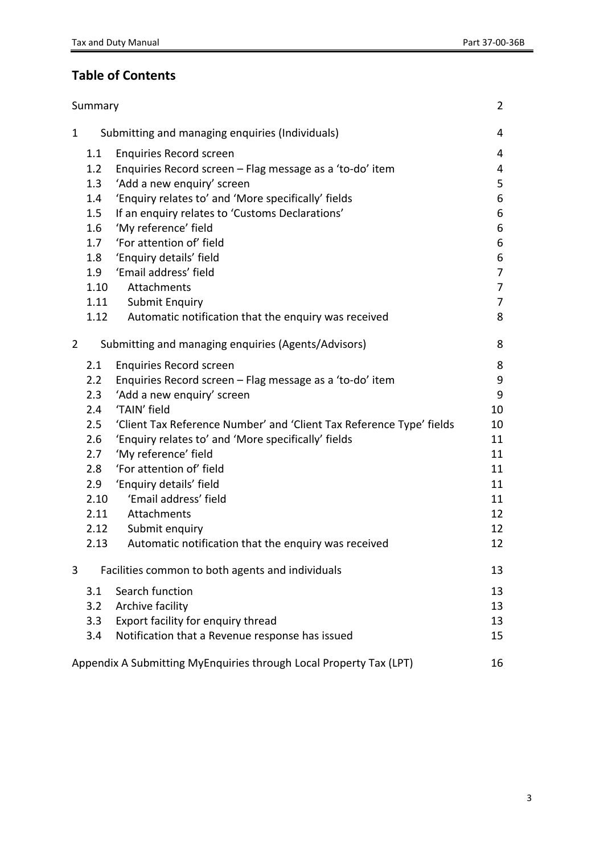## **Table of Contents**

|                | Summary |                                                                      | $\overline{2}$ |
|----------------|---------|----------------------------------------------------------------------|----------------|
| $\mathbf{1}$   |         | Submitting and managing enquiries (Individuals)                      | 4              |
|                | 1.1     | <b>Enquiries Record screen</b>                                       | 4              |
|                | 1.2     | Enquiries Record screen - Flag message as a 'to-do' item             | 4              |
|                | 1.3     | 'Add a new enquiry' screen                                           | 5              |
|                | 1.4     | 'Enquiry relates to' and 'More specifically' fields                  | 6              |
|                | 1.5     | If an enquiry relates to 'Customs Declarations'                      | 6              |
|                | 1.6     | 'My reference' field                                                 | 6              |
|                | 1.7     | 'For attention of' field                                             | 6              |
|                | 1.8     | 'Enquiry details' field                                              | 6              |
|                | 1.9     | 'Email address' field                                                | $\overline{7}$ |
|                | 1.10    | Attachments                                                          | $\overline{7}$ |
|                | 1.11    | <b>Submit Enquiry</b>                                                | 7              |
|                | 1.12    | Automatic notification that the enquiry was received                 | 8              |
| $\overline{2}$ |         | Submitting and managing enquiries (Agents/Advisors)                  | 8              |
|                | 2.1     | <b>Enquiries Record screen</b>                                       | 8              |
|                | 2.2     | Enquiries Record screen - Flag message as a 'to-do' item             | 9              |
|                | 2.3     | 'Add a new enquiry' screen                                           | 9              |
|                | 2.4     | 'TAIN' field                                                         | 10             |
|                | 2.5     | 'Client Tax Reference Number' and 'Client Tax Reference Type' fields | 10             |
|                | 2.6     | 'Enquiry relates to' and 'More specifically' fields                  | 11             |
|                | 2.7     | 'My reference' field                                                 | 11             |
|                | 2.8     | 'For attention of' field                                             | 11             |
|                | 2.9     | 'Enquiry details' field                                              | 11             |
|                | 2.10    | 'Email address' field                                                | 11             |
|                | 2.11    | Attachments                                                          | 12             |
|                | 2.12    | Submit enquiry                                                       | 12             |
|                | 2.13    | Automatic notification that the enquiry was received                 | 12             |
| 3              |         | Facilities common to both agents and individuals                     | 13             |
|                | 3.1     | Search function                                                      | 13             |
|                | 3.2     | Archive facility                                                     | 13             |
|                | 3.3     | Export facility for enquiry thread                                   | 13             |
|                | 3.4     | Notification that a Revenue response has issued                      | 15             |
|                |         | Appendix A Submitting MyEnquiries through Local Property Tax (LPT)   | 16             |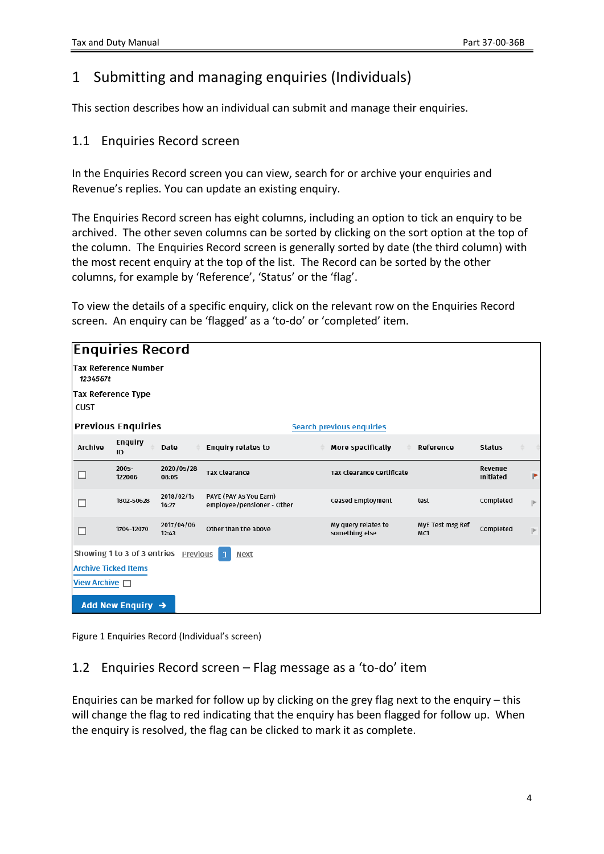## <span id="page-3-0"></span>1 Submitting and managing enquiries (Individuals)

This section describes how an individual can submit and manage their enquiries.

#### <span id="page-3-1"></span>1.1 Enquiries Record screen

In the Enquiries Record screen you can view, search for or archive your enquiries and Revenue's replies. You can update an existing enquiry.

The Enquiries Record screen has eight columns, including an option to tick an enquiry to be archived. The other seven columns can be sorted by clicking on the sort option at the top of the column. The Enquiries Record screen is generally sorted by date (the third column) with the most recent enquiry at the top of the list. The Record can be sorted by the other columns, for example by 'Reference', 'Status' or the 'flag'.

To view the details of a specific enquiry, click on the relevant row on the Enquiries Record screen. An enquiry can be 'flagged' as a 'to-do' or 'completed' item.

| <b>Enquiries Record</b>                 |                               |                                      |                                                      |                                       |                         |                      |  |              |  |
|-----------------------------------------|-------------------------------|--------------------------------------|------------------------------------------------------|---------------------------------------|-------------------------|----------------------|--|--------------|--|
| <b>Tax Reference Number</b><br>1234567t |                               |                                      |                                                      |                                       |                         |                      |  |              |  |
|                                         | Tax Reference Type            |                                      |                                                      |                                       |                         |                      |  |              |  |
| CUST                                    |                               |                                      |                                                      |                                       |                         |                      |  |              |  |
|                                         | <b>Previous Enquiries</b>     |                                      |                                                      | <b>Search previous enquiries</b>      |                         |                      |  |              |  |
| Archive                                 | Enquiry<br>ID                 | Date                                 | <b>Enquiry relates to</b>                            | More specifically                     | Reference               | <b>Status</b>        |  |              |  |
|                                         | $2005 -$<br>122006            | 2020/05/28<br>08:05                  | <b>Tax Clearance</b>                                 | Tax Clearance Certificate             |                         | Revenue<br>Initiated |  | ۴            |  |
|                                         | 1802-50628                    | 2018/02/15<br>16:27                  | PAYE (PAY As You Earn)<br>employee/pensioner - Other | Ceased Employment                     | test                    | Completed            |  | $\mathbb P$  |  |
| П                                       | 1704-12070                    | 2017/04/06<br>12:43                  | Other than the above                                 | My query relates to<br>something else | MyE Test msg Ref<br>MC1 | Completed            |  | $\mathbb{P}$ |  |
|                                         |                               | Showing 1 to 3 of 3 entries Previous | $\overline{1}$<br>Next                               |                                       |                         |                      |  |              |  |
|                                         | <b>Archive Ticked Items</b>   |                                      |                                                      |                                       |                         |                      |  |              |  |
| View Archive $\Box$                     |                               |                                      |                                                      |                                       |                         |                      |  |              |  |
|                                         | Add New Enquiry $\rightarrow$ |                                      |                                                      |                                       |                         |                      |  |              |  |

Figure 1 Enquiries Record (Individual's screen)

### <span id="page-3-2"></span>1.2 Enquiries Record screen – Flag message as a 'to-do' item

Enquiries can be marked for follow up by clicking on the grey flag next to the enquiry – this will change the flag to red indicating that the enquiry has been flagged for follow up. When the enquiry is resolved, the flag can be clicked to mark it as complete.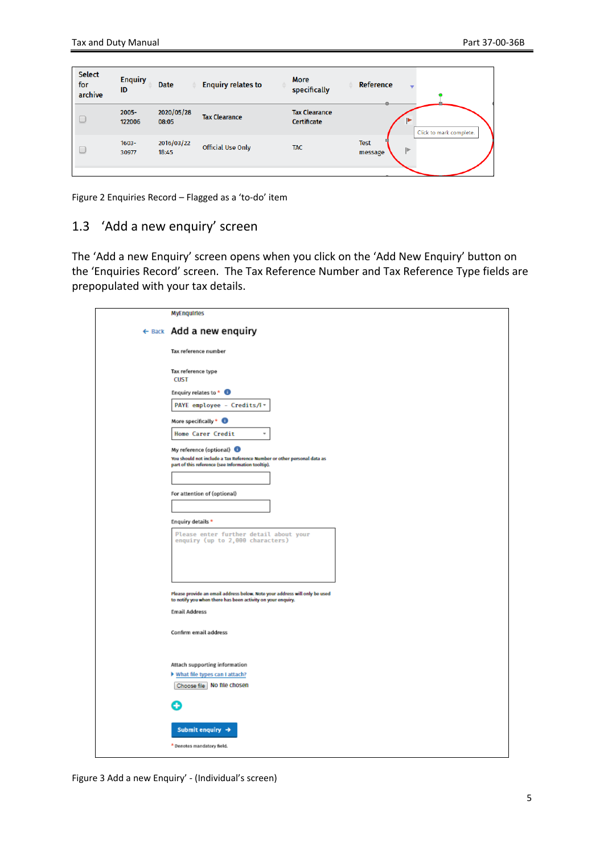| <b>Select</b><br>for<br>archive | <b>Enquiry</b><br>ID | <b>Date</b>         | <b>Enquiry relates to</b> | <b>More</b><br>specifically         | Reference                           |
|---------------------------------|----------------------|---------------------|---------------------------|-------------------------------------|-------------------------------------|
| $\Box$                          | $2005 -$<br>122006   | 2020/05/28<br>08:05 | <b>Tax Clearance</b>      | <b>Tax Clearance</b><br>Certificate | Click to mark complete.             |
| $\cup$                          | $1603 -$<br>30977    | 2016/03/22<br>18:45 | <b>Official Use Only</b>  | <b>TAC</b>                          | <b>Test</b><br><b>ID</b><br>message |

Figure 2 Enquiries Record – Flagged as a 'to-do' item

#### <span id="page-4-0"></span>1.3 'Add a new enquiry' screen

The 'Add a new Enquiry' screen opens when you click on the 'Add New Enquiry' button on the 'Enquiries Record' screen. The Tax Reference Number and Tax Reference Type fields are prepopulated with your tax details.

| <b>MyEnquiries</b>                                                                                                                        |
|-------------------------------------------------------------------------------------------------------------------------------------------|
| ← Back Add a new enquiry                                                                                                                  |
| Tax reference number                                                                                                                      |
| Tax reference type<br><b>CUST</b>                                                                                                         |
| Enquiry relates to * 0                                                                                                                    |
| PAYE employee - Credits/F-                                                                                                                |
| More specifically * <sup>0</sup>                                                                                                          |
| Home Carer Credit                                                                                                                         |
| My reference (optional)                                                                                                                   |
| You should not include a Tax Reference Number or other personal data as<br>part of this reference (see Information tooltip).              |
|                                                                                                                                           |
| For attention of (optional)                                                                                                               |
|                                                                                                                                           |
| Enquiry details *                                                                                                                         |
| Please enter further detail about your<br>enquiry (up to 2,000 characters)                                                                |
|                                                                                                                                           |
|                                                                                                                                           |
| Please provide an email address below. Note your address will only be used<br>to notify you when there has been activity on your enquiry. |
| <b>Email Address</b>                                                                                                                      |
| Confirm email address                                                                                                                     |
| Attach supporting information                                                                                                             |
| If What file types can I attach?<br>Choose file No file chosen                                                                            |
|                                                                                                                                           |
| Submit enquiry $\rightarrow$                                                                                                              |
| * Denotes mandatory field.                                                                                                                |

Figure 3 Add a new Enquiry' - (Individual's screen)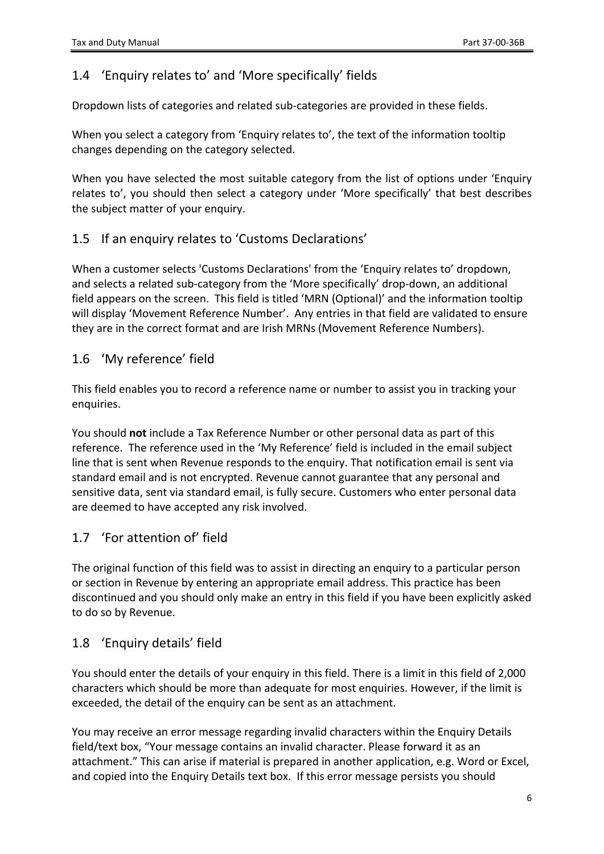### <span id="page-5-0"></span>1.4 'Enquiry relates to' and 'More specifically' fields

Dropdown lists of categories and related sub-categories are provided in these fields.

When you select a category from 'Enquiry relates to', the text of the information tooltip changes depending on the category selected.

When you have selected the most suitable category from the list of options under 'Enquiry relates to', you should then select a category under 'More specifically' that best describes the subject matter of your enquiry.

#### <span id="page-5-1"></span>1.5 If an enquiry relates to 'Customs Declarations'

When a customer selects 'Customs Declarations' from the 'Enquiry relates to' dropdown, and selects a related sub-category from the 'More specifically' drop-down, an additional field appears on the screen. This field is titled 'MRN (Optional)' and the information tooltip will display 'Movement Reference Number'. Any entries in that field are validated to ensure they are in the correct format and are Irish MRNs (Movement Reference Numbers).

#### <span id="page-5-2"></span>1.6 'My reference' field

This field enables you to record a reference name or number to assist you in tracking your enquiries.

You should **not** include a Tax Reference Number or other personal data as part of this reference. The reference used in the 'My Reference' field is included in the email subject line that is sent when Revenue responds to the enquiry. That notification email is sent via standard email and is not encrypted. Revenue cannot guarantee that any personal and sensitive data, sent via standard email, is fully secure. Customers who enter personal data are deemed to have accepted any risk involved.

#### <span id="page-5-3"></span>1.7 'For attention of' field

The original function of this field was to assist in directing an enquiry to a particular person or section in Revenue by entering an appropriate email address. This practice has been discontinued and you should only make an entry in this field if you have been explicitly asked to do so by Revenue.

#### <span id="page-5-4"></span>1.8 'Enquiry details' field

You should enter the details of your enquiry in this field. There is a limit in this field of 2,000 characters which should be more than adequate for most enquiries. However, if the limit is exceeded, the detail of the enquiry can be sent as an attachment.

You may receive an error message regarding invalid characters within the Enquiry Details field/text box, "Your message contains an invalid character. Please forward it as an attachment." This can arise if material is prepared in another application, e.g. Word or Excel, and copied into the Enquiry Details text box. If this error message persists you should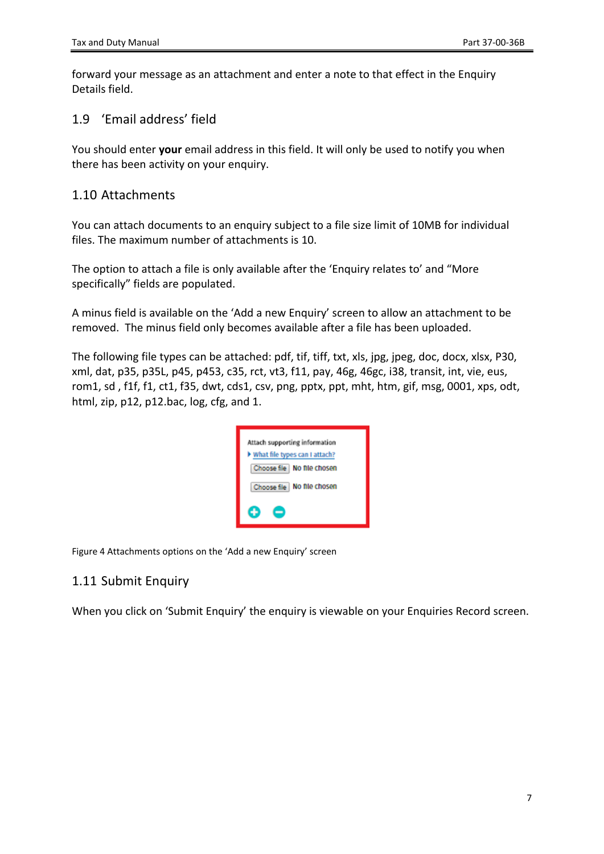forward your message as an attachment and enter a note to that effect in the Enquiry Details field.

<span id="page-6-0"></span>1.9 'Email address' field

You should enter **your** email address in this field. It will only be used to notify you when there has been activity on your enquiry.

#### <span id="page-6-1"></span>1.10 Attachments

You can attach documents to an enquiry subject to a file size limit of 10MB for individual files. The maximum number of attachments is 10.

The option to attach a file is only available after the 'Enquiry relates to' and "More specifically" fields are populated.

A minus field is available on the 'Add a new Enquiry' screen to allow an attachment to be removed. The minus field only becomes available after a file has been uploaded.

The following file types can be attached: pdf, tif, tiff, txt, xls, jpg, jpeg, doc, docx, xlsx, P30, xml, dat, p35, p35L, p45, p453, c35, rct, vt3, f11, pay, 46g, 46gc, i38, transit, int, vie, eus, rom1, sd , f1f, f1, ct1, f35, dwt, cds1, csv, png, pptx, ppt, mht, htm, gif, msg, 0001, xps, odt, html, zip, p12, p12.bac, log, cfg, and 1.



Figure 4 Attachments options on the 'Add a new Enquiry' screen

#### <span id="page-6-2"></span>1.11 Submit Enquiry

When you click on 'Submit Enquiry' the enquiry is viewable on your Enquiries Record screen.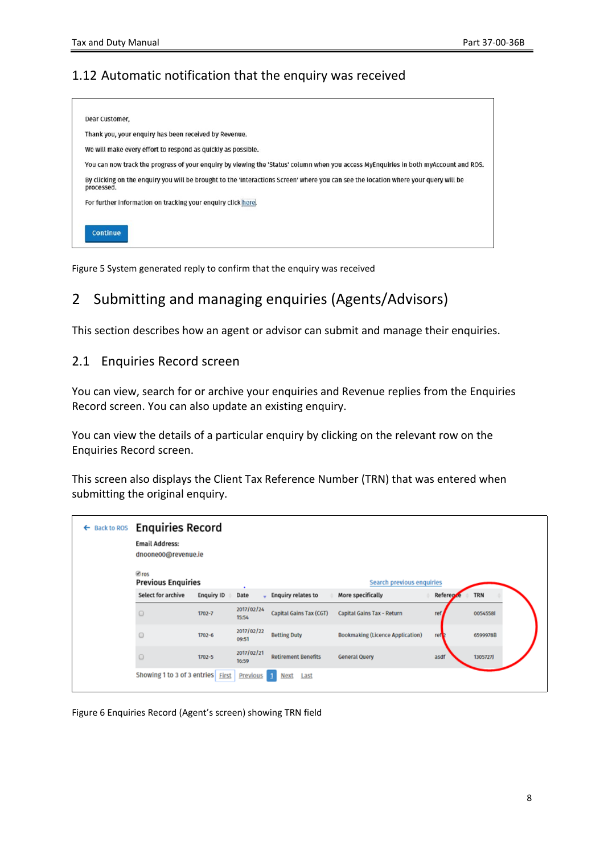### <span id="page-7-0"></span>1.12 Automatic notification that the enquiry was received



Figure 5 System generated reply to confirm that the enquiry was received

## <span id="page-7-1"></span>2 Submitting and managing enquiries (Agents/Advisors)

This section describes how an agent or advisor can submit and manage their enquiries.

#### <span id="page-7-2"></span>2.1 Enquiries Record screen

You can view, search for or archive your enquiries and Revenue replies from the Enquiries Record screen. You can also update an existing enquiry.

You can view the details of a particular enquiry by clicking on the relevant row on the Enquiries Record screen.

This screen also displays the Client Tax Reference Number (TRN) that was entered when submitting the original enquiry.

| ← Back to ROS Enquiries Record<br><b>Email Address:</b><br>dnoone00@revenue.ie<br><b></b> <i>⊠</i> ros |                   |                     |                            |                                         |               |            |
|--------------------------------------------------------------------------------------------------------|-------------------|---------------------|----------------------------|-----------------------------------------|---------------|------------|
| <b>Previous Enquiries</b>                                                                              |                   | ٠                   |                            | Search previous enquiries               |               |            |
| Select for archive                                                                                     | <b>Enquiry ID</b> | Date                | <b>Enquiry relates to</b>  | More specifically                       | Referen<br>A. | <b>TRN</b> |
|                                                                                                        | $1702 - 7$        | 2017/02/24<br>15:54 | Capital Gains Tax (CGT)    | Capital Gains Tax - Return              | ref           | 00545581   |
|                                                                                                        | $1702 - 6$        | 2017/02/22<br>09:51 | <b>Betting Duty</b>        | <b>Bookmaking (Licence Application)</b> | ref           | 6599978B   |
|                                                                                                        | $1702 - 5$        | 2017/02/21<br>16:59 | <b>Retirement Benefits</b> | <b>General Query</b>                    | asdf          | 1305727)   |
| Showing 1 to 3 of 3 entries First                                                                      |                   | Previous            | Last<br>Next               |                                         |               |            |

Figure 6 Enquiries Record (Agent's screen) showing TRN field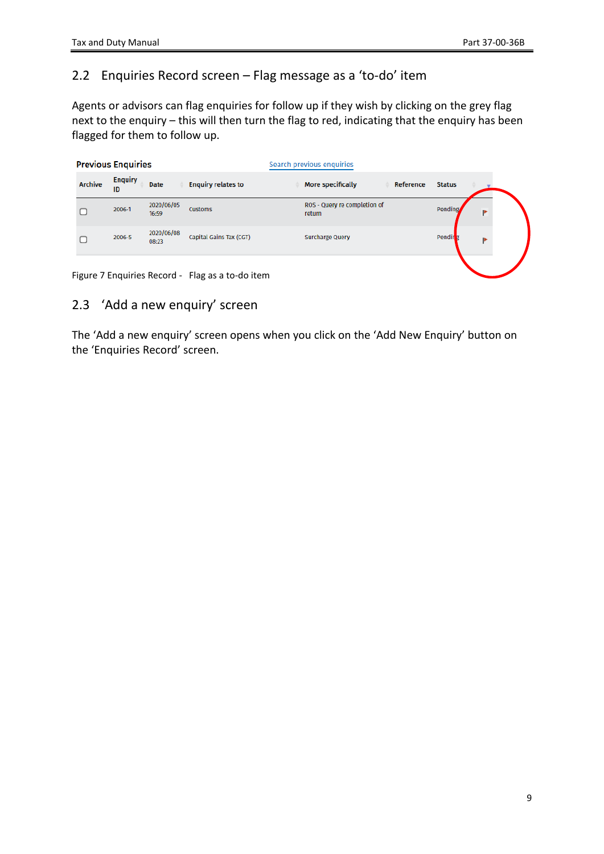### <span id="page-8-0"></span>2.2 Enquiries Record screen – Flag message as a 'to-do' item

Agents or advisors can flag enquiries for follow up if they wish by clicking on the grey flag next to the enquiry – this will then turn the flag to red, indicating that the enquiry has been flagged for them to follow up.

|                | <b>Previous Enquiries</b> |                     |                           | Search previous enquiries              |               |
|----------------|---------------------------|---------------------|---------------------------|----------------------------------------|---------------|
| <b>Archive</b> | <b>Enquiry</b><br>ID      | <b>Date</b>         | <b>Enquiry relates to</b> | More specifically<br>Reference         | <b>Status</b> |
|                | 2006-1                    | 2020/06/05<br>16:59 | <b>Customs</b>            | ROS - Query re completion of<br>return | Pending/<br>Þ |
|                | 2006-5                    | 2020/06/08<br>08:23 | Capital Gains Tax (CGT)   | Surcharge Query                        | Pendir g      |
|                |                           |                     |                           |                                        |               |

Figure 7 Enquiries Record - Flag as a to-do item

#### <span id="page-8-1"></span>2.3 'Add a new enquiry' screen

The 'Add a new enquiry' screen opens when you click on the 'Add New Enquiry' button on the 'Enquiries Record' screen.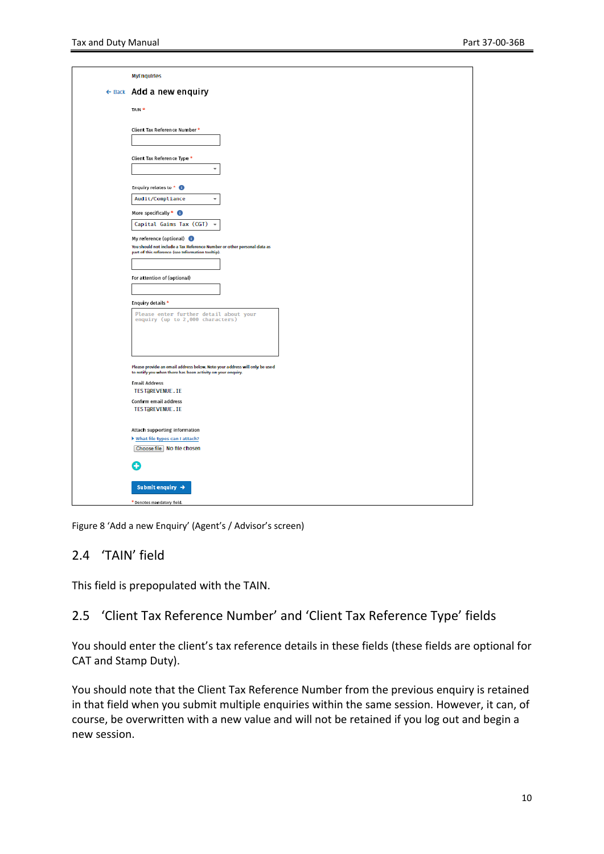| MyEnquiries                                                                                                                               |
|-------------------------------------------------------------------------------------------------------------------------------------------|
| ← Back Add a new enquiry                                                                                                                  |
| TAIN <sup>*</sup>                                                                                                                         |
|                                                                                                                                           |
| Client Tax Reference Number *                                                                                                             |
|                                                                                                                                           |
| Client Tax Reference Type *                                                                                                               |
| ÷                                                                                                                                         |
| Enquiry relates to * <sup>0</sup>                                                                                                         |
| Audit/Compliance<br>$\overline{\phantom{a}}$                                                                                              |
| More specifically * @                                                                                                                     |
| Capital Gains Tax (CGT) +                                                                                                                 |
| My reference (optional)<br>You should not include a Tax Reference Number or other personal data as                                        |
| part of this reference (see Information tooltip).                                                                                         |
| For attention of (optional)                                                                                                               |
|                                                                                                                                           |
| Enquiry details *                                                                                                                         |
| Please enter further detail about your<br>enquiry (up to 2,000 characters)                                                                |
|                                                                                                                                           |
|                                                                                                                                           |
|                                                                                                                                           |
| Please provide an email address below. Note your address will only be used<br>to notify you when there has been activity on your enquiry. |
| <b>Email Address</b><br><b>TEST@REVENUE.IE</b>                                                                                            |
| Confirm email address                                                                                                                     |
| <b>TEST@REVENUE.IE</b>                                                                                                                    |
| Attach supporting information                                                                                                             |
| Iv hat file types can I attach?<br>Choose file No file chosen                                                                             |
|                                                                                                                                           |
|                                                                                                                                           |
| Submit enquiry $\rightarrow$                                                                                                              |
| * Denotes mandatory field.                                                                                                                |

Figure 8 'Add a new Enquiry' (Agent's / Advisor's screen)

#### <span id="page-9-0"></span>2.4 'TAIN' field

This field is prepopulated with the TAIN.

#### <span id="page-9-1"></span>2.5 'Client Tax Reference Number' and 'Client Tax Reference Type' fields

You should enter the client's tax reference details in these fields (these fields are optional for CAT and Stamp Duty).

You should note that the Client Tax Reference Number from the previous enquiry is retained in that field when you submit multiple enquiries within the same session. However, it can, of course, be overwritten with a new value and will not be retained if you log out and begin a new session.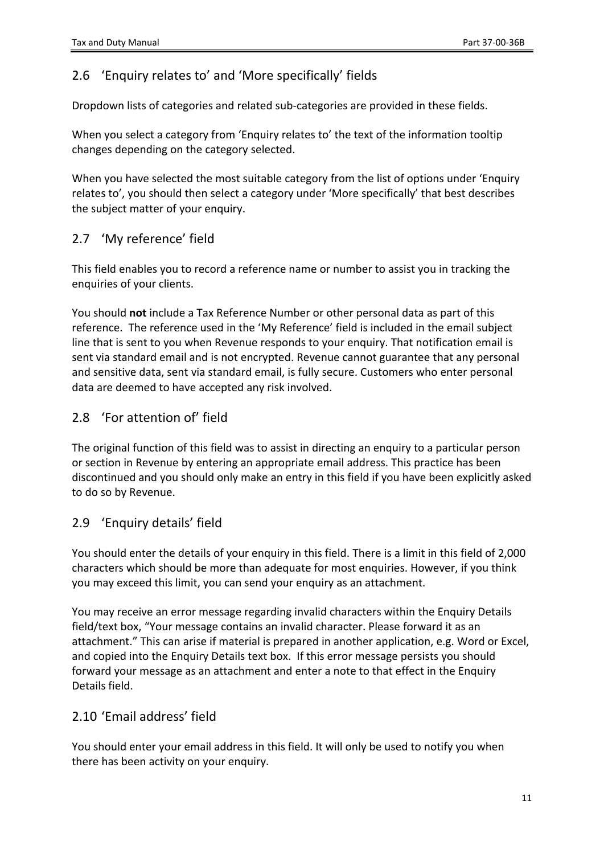### <span id="page-10-0"></span>2.6 'Enquiry relates to' and 'More specifically' fields

Dropdown lists of categories and related sub-categories are provided in these fields.

When you select a category from 'Enquiry relates to' the text of the information tooltip changes depending on the category selected.

When you have selected the most suitable category from the list of options under 'Enquiry relates to', you should then select a category under 'More specifically' that best describes the subject matter of your enquiry.

### <span id="page-10-1"></span>2.7 'My reference' field

This field enables you to record a reference name or number to assist you in tracking the enquiries of your clients.

You should **not** include a Tax Reference Number or other personal data as part of this reference. The reference used in the 'My Reference' field is included in the email subject line that is sent to you when Revenue responds to your enquiry. That notification email is sent via standard email and is not encrypted. Revenue cannot guarantee that any personal and sensitive data, sent via standard email, is fully secure. Customers who enter personal data are deemed to have accepted any risk involved.

### <span id="page-10-2"></span>2.8 'For attention of' field

The original function of this field was to assist in directing an enquiry to a particular person or section in Revenue by entering an appropriate email address. This practice has been discontinued and you should only make an entry in this field if you have been explicitly asked to do so by Revenue.

#### <span id="page-10-3"></span>2.9 'Enquiry details' field

You should enter the details of your enquiry in this field. There is a limit in this field of 2,000 characters which should be more than adequate for most enquiries. However, if you think you may exceed this limit, you can send your enquiry as an attachment.

You may receive an error message regarding invalid characters within the Enquiry Details field/text box, "Your message contains an invalid character. Please forward it as an attachment." This can arise if material is prepared in another application, e.g. Word or Excel, and copied into the Enquiry Details text box. If this error message persists you should forward your message as an attachment and enter a note to that effect in the Enquiry Details field.

#### <span id="page-10-4"></span>2.10 'Email address' field

You should enter your email address in this field. It will only be used to notify you when there has been activity on your enquiry.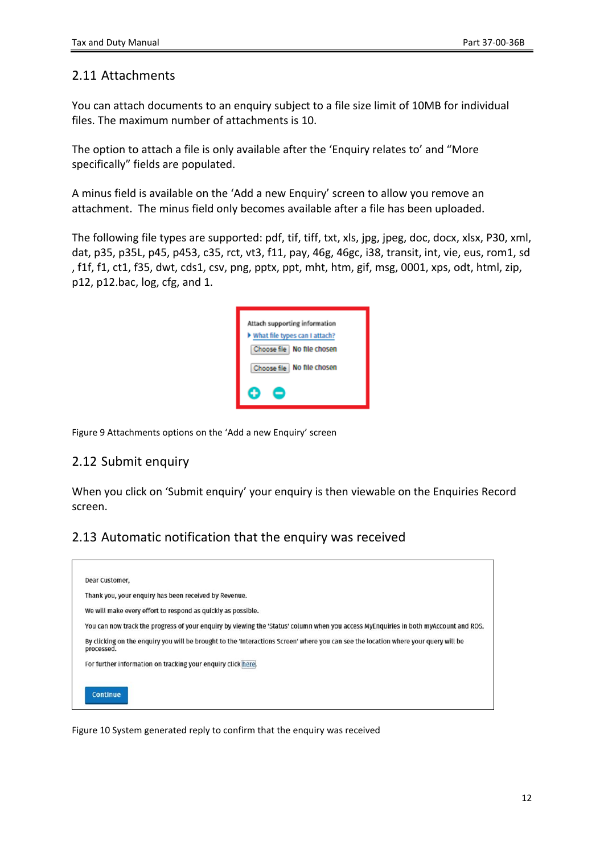#### <span id="page-11-0"></span>2.11 Attachments

You can attach documents to an enquiry subject to a file size limit of 10MB for individual files. The maximum number of attachments is 10.

The option to attach a file is only available after the 'Enquiry relates to' and "More specifically" fields are populated.

A minus field is available on the 'Add a new Enquiry' screen to allow you remove an attachment. The minus field only becomes available after a file has been uploaded.

The following file types are supported: pdf, tif, tiff, txt, xls, jpg, jpeg, doc, docx, xlsx, P30, xml, dat, p35, p35L, p45, p453, c35, rct, vt3, f11, pay, 46g, 46gc, i38, transit, int, vie, eus, rom1, sd , f1f, f1, ct1, f35, dwt, cds1, csv, png, pptx, ppt, mht, htm, gif, msg, 0001, xps, odt, html, zip, p12, p12.bac, log, cfg, and 1.

| Attach supporting information   |
|---------------------------------|
| > What file types can I attach? |
| Choose file   No file chosen    |
| Choose file   No file chosen    |
|                                 |

Figure 9 Attachments options on the 'Add a new Enquiry' screen

#### <span id="page-11-1"></span>2.12 Submit enquiry

When you click on 'Submit enquiry' your enquiry is then viewable on the Enquiries Record screen.

#### <span id="page-11-2"></span>2.13 Automatic notification that the enquiry was received

| Dear Customer,                                                                                                                                    |
|---------------------------------------------------------------------------------------------------------------------------------------------------|
| Thank you, your enquiry has been received by Revenue.                                                                                             |
| We will make every effort to respond as quickly as possible.                                                                                      |
| You can now track the progress of your enquiry by viewing the 'Status' column when you access MyEnquiries in both myAccount and ROS.              |
| By clicking on the enquiry you will be brought to the 'Interactions Screen' where you can see the location where your query will be<br>processed. |
| For further information on tracking your enquiry click here.                                                                                      |
|                                                                                                                                                   |
| <b>Continue</b>                                                                                                                                   |
|                                                                                                                                                   |

Figure 10 System generated reply to confirm that the enquiry was received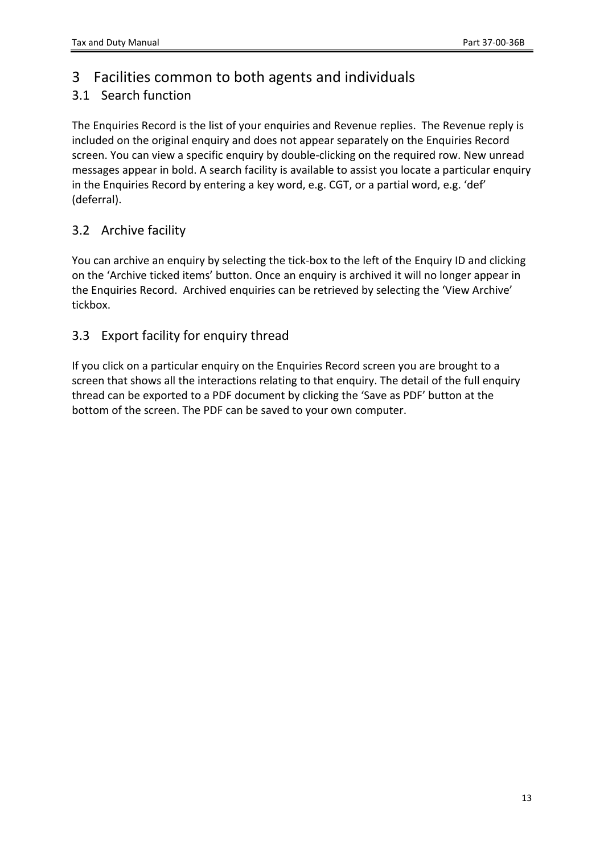## <span id="page-12-0"></span>3 Facilities common to both agents and individuals

## <span id="page-12-1"></span>3.1 Search function

The Enquiries Record is the list of your enquiries and Revenue replies. The Revenue reply is included on the original enquiry and does not appear separately on the Enquiries Record screen. You can view a specific enquiry by double-clicking on the required row. New unread messages appear in bold. A search facility is available to assist you locate a particular enquiry in the Enquiries Record by entering a key word, e.g. CGT, or a partial word, e.g. 'def' (deferral).

### <span id="page-12-2"></span>3.2 Archive facility

You can archive an enquiry by selecting the tick-box to the left of the Enquiry ID and clicking on the 'Archive ticked items' button. Once an enquiry is archived it will no longer appear in the Enquiries Record. Archived enquiries can be retrieved by selecting the 'View Archive' tickbox.

## <span id="page-12-3"></span>3.3 Export facility for enquiry thread

If you click on a particular enquiry on the Enquiries Record screen you are brought to a screen that shows all the interactions relating to that enquiry. The detail of the full enquiry thread can be exported to a PDF document by clicking the 'Save as PDF' button at the bottom of the screen. The PDF can be saved to your own computer.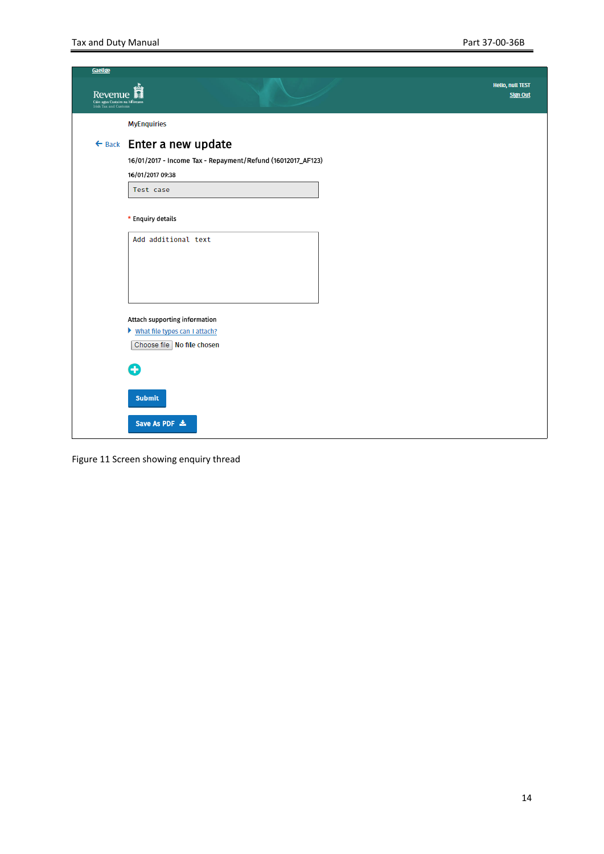| Gaelige<br>Revenue<br>Cáin agus Custairn na hÉireana<br>Irish Tax and Customs |                                                             | <b>Hello, null TEST</b><br><b>Sign Out</b> |
|-------------------------------------------------------------------------------|-------------------------------------------------------------|--------------------------------------------|
|                                                                               | <b>MyEnquiries</b>                                          |                                            |
|                                                                               | ← Back Enter a new update                                   |                                            |
|                                                                               | 16/01/2017 - Income Tax - Repayment/Refund (16012017_AF123) |                                            |
|                                                                               | 16/01/2017 09:38                                            |                                            |
|                                                                               | Test case                                                   |                                            |
|                                                                               | * Enquiry details                                           |                                            |
|                                                                               | Add additional text                                         |                                            |
|                                                                               |                                                             |                                            |
|                                                                               | Attach supporting information                               |                                            |
|                                                                               | > What file types can I attach?                             |                                            |
|                                                                               | Choose file No file chosen                                  |                                            |
|                                                                               | Ω                                                           |                                            |
|                                                                               | <b>Submit</b>                                               |                                            |
|                                                                               | Save As PDF 出                                               |                                            |

Figure 11 Screen showing enquiry thread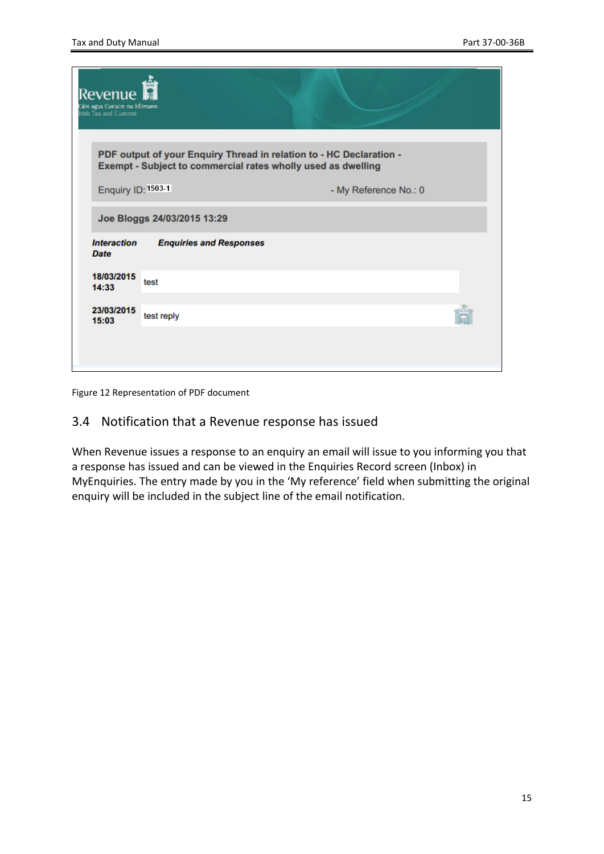| Revenue<br>Cáin agus Custaim na hÉireann<br>Irish Tax and Customs |                                |                                                                                                                                     |  |
|-------------------------------------------------------------------|--------------------------------|-------------------------------------------------------------------------------------------------------------------------------------|--|
|                                                                   |                                | PDF output of your Enquiry Thread in relation to - HC Declaration -<br>Exempt - Subject to commercial rates wholly used as dwelling |  |
| Enquiry ID: 1503-1                                                |                                | - My Reference No.: 0                                                                                                               |  |
|                                                                   | Joe Bloggs 24/03/2015 13:29    |                                                                                                                                     |  |
| <b>Interaction</b><br><b>Date</b>                                 | <b>Enquiries and Responses</b> |                                                                                                                                     |  |
| 18/03/2015<br>14:33                                               | test                           |                                                                                                                                     |  |
| 23/03/2015<br>15:03                                               | test reply                     |                                                                                                                                     |  |
|                                                                   |                                |                                                                                                                                     |  |
|                                                                   |                                |                                                                                                                                     |  |

Figure 12 Representation of PDF document

#### <span id="page-14-0"></span>3.4 Notification that a Revenue response has issued

When Revenue issues a response to an enquiry an email will issue to you informing you that a response has issued and can be viewed in the Enquiries Record screen (Inbox) in MyEnquiries. The entry made by you in the 'My reference' field when submitting the original enquiry will be included in the subject line of the email notification.